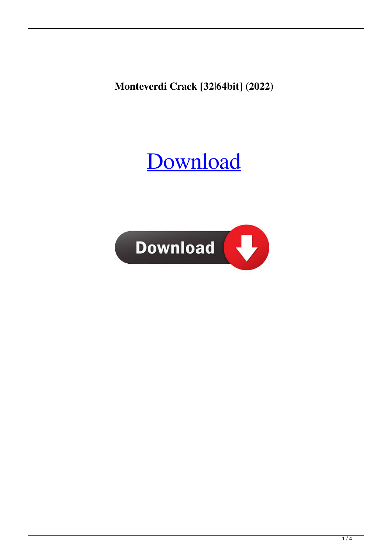**Monteverdi Crack [32|64bit] (2022)**

# [Download](http://evacdir.com/venom/TW9udGV2ZXJkaQTW9?blockdown/colorful/profession/ZG93bmxvYWR8NTNVTW5keFpIeDhNVFkxTkRVeU1qRXhNSHg4TWpVM05IeDhLRTBwSUhKbFlXUXRZbXh2WnlCYlJtRnpkQ0JIUlU1ZA/ocimum)

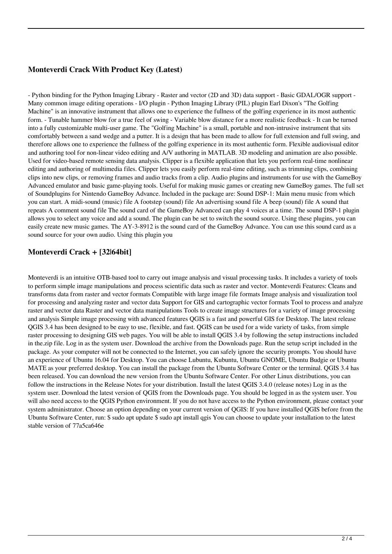### **Monteverdi Crack With Product Key (Latest)**

- Python binding for the Python Imaging Library - Raster and vector (2D and 3D) data support - Basic GDAL/OGR support - Many common image editing operations - I/O plugin - Python Imaging Library (PIL) plugin Earl Dixon's "The Golfing Machine" is an innovative instrument that allows one to experience the fullness of the golfing experience in its most authentic form. - Tunable hammer blow for a true feel of swing - Variable blow distance for a more realistic feedback - It can be turned into a fully customizable multi-user game. The "Golfing Machine" is a small, portable and non-intrusive instrument that sits comfortably between a sand wedge and a putter. It is a design that has been made to allow for full extension and full swing, and therefore allows one to experience the fullness of the golfing experience in its most authentic form. Flexible audiovisual editor and authoring tool for non-linear video editing and A/V authoring in MATLAB. 3D modeling and animation are also possible. Used for video-based remote sensing data analysis. Clipper is a flexible application that lets you perform real-time nonlinear editing and authoring of multimedia files. Clipper lets you easily perform real-time editing, such as trimming clips, combining clips into new clips, or removing frames and audio tracks from a clip. Audio plugins and instruments for use with the GameBoy Advanced emulator and basic game-playing tools. Useful for making music games or creating new GameBoy games. The full set of Soundplugins for Nintendo GameBoy Advance. Included in the package are: Sound DSP-1: Main menu music from which you can start. A midi-sound (music) file A footstep (sound) file An advertising sound file A beep (sound) file A sound that repeats A comment sound file The sound card of the GameBoy Advanced can play 4 voices at a time. The sound DSP-1 plugin allows you to select any voice and add a sound. The plugin can be set to switch the sound source. Using these plugins, you can easily create new music games. The AY-3-8912 is the sound card of the GameBoy Advance. You can use this sound card as a sound source for your own audio. Using this plugin you

### **Monteverdi Crack + [32|64bit]**

Monteverdi is an intuitive OTB-based tool to carry out image analysis and visual processing tasks. It includes a variety of tools to perform simple image manipulations and process scientific data such as raster and vector. Monteverdi Features: Cleans and transforms data from raster and vector formats Compatible with large image file formats Image analysis and visualization tool for processing and analyzing raster and vector data Support for GIS and cartographic vector formats Tool to process and analyze raster and vector data Raster and vector data manipulations Tools to create image structures for a variety of image processing and analysis Simple image processing with advanced features QGIS is a fast and powerful GIS for Desktop. The latest release QGIS 3.4 has been designed to be easy to use, flexible, and fast. QGIS can be used for a wide variety of tasks, from simple raster processing to designing GIS web pages. You will be able to install QGIS 3.4 by following the setup instructions included in the.zip file. Log in as the system user. Download the archive from the Downloads page. Run the setup script included in the package. As your computer will not be connected to the Internet, you can safely ignore the security prompts. You should have an experience of Ubuntu 16.04 for Desktop. You can choose Lubuntu, Kubuntu, Ubuntu GNOME, Ubuntu Budgie or Ubuntu MATE as your preferred desktop. You can install the package from the Ubuntu Software Center or the terminal. QGIS 3.4 has been released. You can download the new version from the Ubuntu Software Center. For other Linux distributions, you can follow the instructions in the Release Notes for your distribution. Install the latest QGIS 3.4.0 (release notes) Log in as the system user. Download the latest version of QGIS from the Downloads page. You should be logged in as the system user. You will also need access to the QGIS Python environment. If you do not have access to the Python environment, please contact your system administrator. Choose an option depending on your current version of QGIS: If you have installed QGIS before from the Ubuntu Software Center, run: \$ sudo apt update \$ sudo apt install qgis You can choose to update your installation to the latest stable version of 77a5ca646e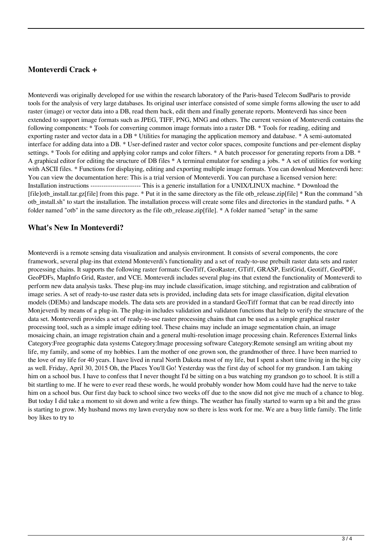#### **Monteverdi Crack +**

Monteverdi was originally developed for use within the research laboratory of the Paris-based Telecom SudParis to provide tools for the analysis of very large databases. Its original user interface consisted of some simple forms allowing the user to add raster (image) or vector data into a DB, read them back, edit them and finally generate reports. Monteverdi has since been extended to support image formats such as JPEG, TIFF, PNG, MNG and others. The current version of Monteverdi contains the following components: \* Tools for converting common image formats into a raster DB. \* Tools for reading, editing and exporting raster and vector data in a DB \* Utilities for managing the application memory and database. \* A semi-automated interface for adding data into a DB. \* User-defined raster and vector color spaces, composite functions and per-element display settings. \* Tools for editing and applying color ramps and color filters. \* A batch processor for generating reports from a DB. \* A graphical editor for editing the structure of DB files \* A terminal emulator for sending a jobs. \* A set of utilities for working with ASCII files. \* Functions for displaying, editing and exporting multiple image formats. You can download Monteverdi here: You can view the documentation here: This is a trial version of Monteverdi. You can purchase a licensed version here: Installation instructions ----------------------- This is a generic installation for a UNIX/LINUX machine. \* Download the [file]otb\_install.tar.gz[file] from this page. \* Put it in the same directory as the file otb\_release.zip[file] \* Run the command "sh otb\_install.sh" to start the installation. The installation process will create some files and directories in the standard paths. \* A folder named "otb" in the same directory as the file otb\_release.zip[file]. \* A folder named "setup" in the same

#### **What's New In Monteverdi?**

Monteverdi is a remote sensing data visualization and analysis environment. It consists of several components, the core framework, several plug-ins that extend Monteverdi's functionality and a set of ready-to-use prebuilt raster data sets and raster processing chains. It supports the following raster formats: GeoTiff, GeoRaster, GTiff, GRASP, EsriGrid, Geotiff, GeoPDF, GeoPDFs, MapInfo Grid, Raster, and VCE. Monteverdi includes several plug-ins that extend the functionality of Monteverdi to perform new data analysis tasks. These plug-ins may include classification, image stitching, and registration and calibration of image series. A set of ready-to-use raster data sets is provided, including data sets for image classification, digital elevation models (DEMs) and landscape models. The data sets are provided in a standard GeoTiff format that can be read directly into Monjeverdi by means of a plug-in. The plug-in includes validation and validaton functions that help to verify the structure of the data set. Monteverdi provides a set of ready-to-use raster processing chains that can be used as a simple graphical raster processing tool, such as a simple image editing tool. These chains may include an image segmentation chain, an image mosaicing chain, an image registration chain and a general multi-resolution image processing chain. References External links Category:Free geographic data systems Category:Image processing software Category:Remote sensingI am writing about my life, my family, and some of my hobbies. I am the mother of one grown son, the grandmother of three. I have been married to the love of my life for 40 years. I have lived in rural North Dakota most of my life, but I spent a short time living in the big city as well. Friday, April 30, 2015 Oh, the Places You'll Go! Yesterday was the first day of school for my grandson. I am taking him on a school bus. I have to confess that I never thought I'd be sitting on a bus watching my grandson go to school. It is still a bit startling to me. If he were to ever read these words, he would probably wonder how Mom could have had the nerve to take him on a school bus. Our first day back to school since two weeks off due to the snow did not give me much of a chance to blog. But today I did take a moment to sit down and write a few things. The weather has finally started to warm up a bit and the grass is starting to grow. My husband mows my lawn everyday now so there is less work for me. We are a busy little family. The little boy likes to try to